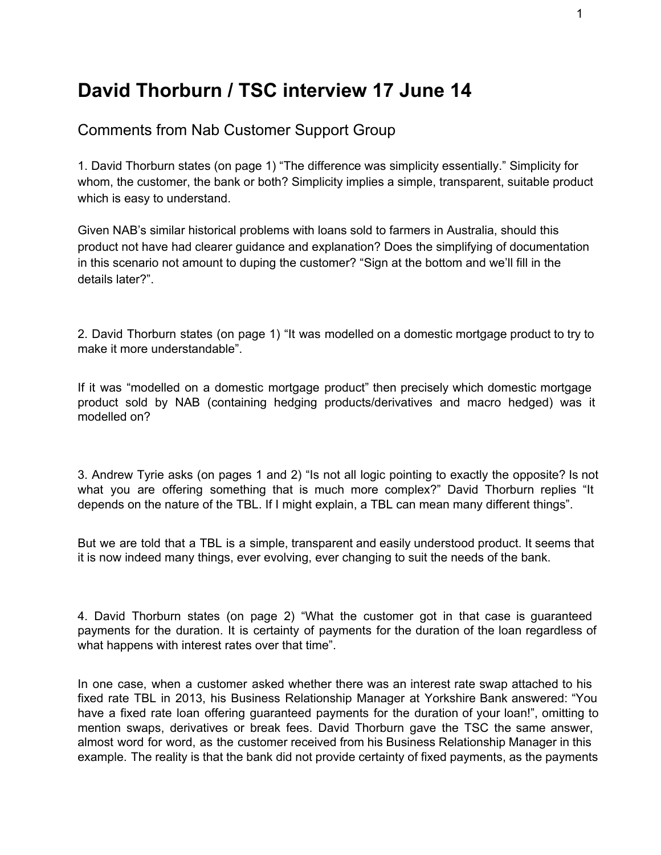## **David Thorburn / TSC interview 17 June 14**

## Comments from Nab Customer Support Group

1. David Thorburn states (on page 1) "The difference was simplicity essentially." Simplicity for whom, the customer, the bank or both? Simplicity implies a simple, transparent, suitable product which is easy to understand.

Given NAB's similar historical problems with loans sold to farmers in Australia, should this product not have had clearer guidance and explanation? Does the simplifying of documentation in this scenario not amount to duping the customer? "Sign at the bottom and we'll fill in the details later?".

2. David Thorburn states (on page 1) "It was modelled on a domestic mortgage product to try to make it more understandable".

If it was "modelled on a domestic mortgage product" then precisely which domestic mortgage product sold by NAB (containing hedging products/derivatives and macro hedged) was it modelled on?

3. Andrew Tyrie asks (on pages 1 and 2) "Is not all logic pointing to exactly the opposite? Is not what you are offering something that is much more complex?" David Thorburn replies "It depends on the nature of the TBL. If I might explain, a TBL can mean many different things".

But we are told that a TBL is a simple, transparent and easily understood product. It seems that it is now indeed many things, ever evolving, ever changing to suit the needs of the bank.

4. David Thorburn states (on page 2) "What the customer got in that case is guaranteed payments for the duration. It is certainty of payments for the duration of the loan regardless of what happens with interest rates over that time".

In one case, when a customer asked whether there was an interest rate swap attached to his fixed rate TBL in 2013, his Business Relationship Manager at Yorkshire Bank answered: "You have a fixed rate loan offering guaranteed payments for the duration of your loan!", omitting to mention swaps, derivatives or break fees. David Thorburn gave the TSC the same answer, almost word for word, as the customer received from his Business Relationship Manager in this example. The reality is that the bank did not provide certainty of fixed payments, as the payments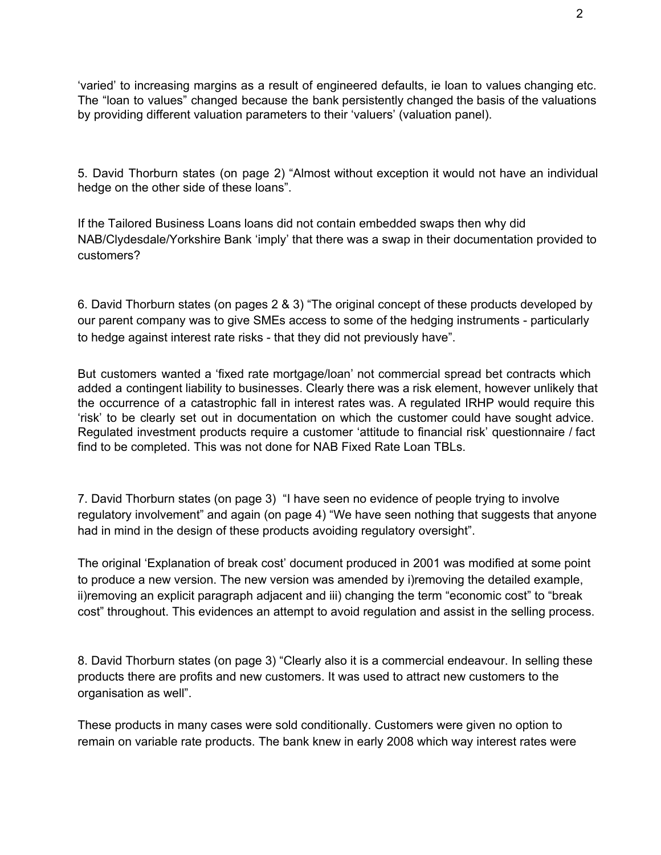'varied' to increasing margins as a result of engineered defaults, ie loan to values changing etc. The "loan to values" changed because the bank persistently changed the basis of the valuations by providing different valuation parameters to their 'valuers' (valuation panel).

5. David Thorburn states (on page 2) "Almost without exception it would not have an individual hedge on the other side of these loans".

If the Tailored Business Loans loans did not contain embedded swaps then why did NAB/Clydesdale/Yorkshire Bank 'imply' that there was a swap in their documentation provided to customers?

6. David Thorburn states (on pages 2 & 3) "The original concept of these products developed by our parent company was to give SMEs access to some of the hedging instruments - particularly to hedge against interest rate risks - that they did not previously have".

But customers wanted a 'fixed rate mortgage/loan' not commercial spread bet contracts which added a contingent liability to businesses. Clearly there was a risk element, however unlikely that the occurrence of a catastrophic fall in interest rates was. A regulated IRHP would require this 'risk' to be clearly set out in documentation on which the customer could have sought advice. Regulated investment products require a customer 'attitude to financial risk' questionnaire / fact find to be completed. This was not done for NAB Fixed Rate Loan TBLs.

7. David Thorburn states (on page 3) "I have seen no evidence of people trying to involve regulatory involvement" and again (on page 4) "We have seen nothing that suggests that anyone had in mind in the design of these products avoiding regulatory oversight".

The original 'Explanation of break cost' document produced in 2001 was modified at some point to produce a new version. The new version was amended by i)removing the detailed example, ii)removing an explicit paragraph adjacent and iii) changing the term "economic cost" to "break cost" throughout. This evidences an attempt to avoid regulation and assist in the selling process.

8. David Thorburn states (on page 3) "Clearly also it is a commercial endeavour. In selling these products there are profits and new customers. It was used to attract new customers to the organisation as well".

These products in many cases were sold conditionally. Customers were given no option to remain on variable rate products. The bank knew in early 2008 which way interest rates were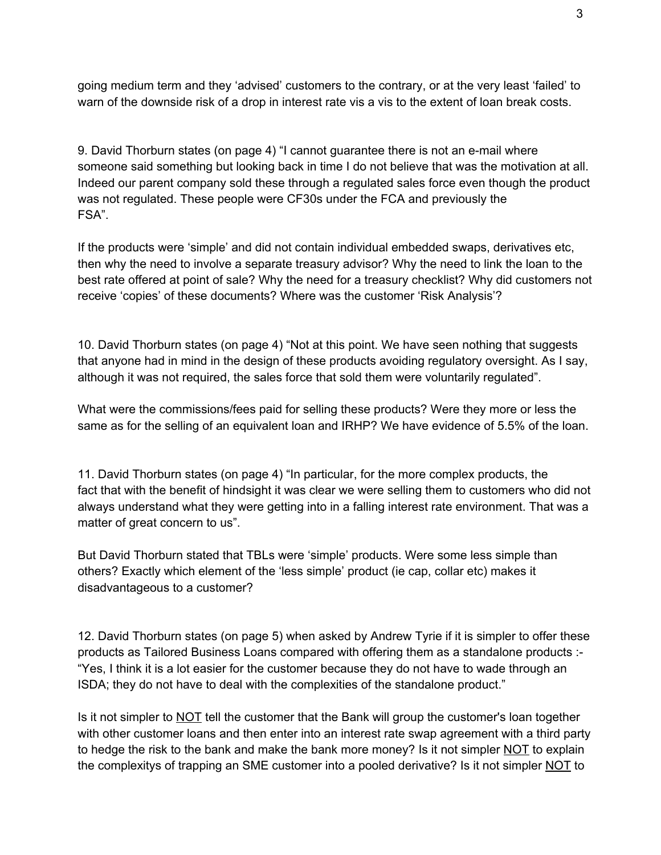going medium term and they 'advised' customers to the contrary, or at the very least 'failed' to warn of the downside risk of a drop in interest rate vis a vis to the extent of loan break costs.

9. David Thorburn states (on page 4) "I cannot guarantee there is not an email where someone said something but looking back in time I do not believe that was the motivation at all. Indeed our parent company sold these through a regulated sales force even though the product was not regulated. These people were CF30s under the FCA and previously the FSA".

If the products were 'simple' and did not contain individual embedded swaps, derivatives etc, then why the need to involve a separate treasury advisor? Why the need to link the loan to the best rate offered at point of sale? Why the need for a treasury checklist? Why did customers not receive 'copies' of these documents? Where was the customer 'Risk Analysis'?

10. David Thorburn states (on page 4) "Not at this point. We have seen nothing that suggests that anyone had in mind in the design of these products avoiding regulatory oversight. As I say, although it was not required, the sales force that sold them were voluntarily regulated".

What were the commissions/fees paid for selling these products? Were they more or less the same as for the selling of an equivalent loan and IRHP? We have evidence of 5.5% of the loan.

11. David Thorburn states (on page 4) "In particular, for the more complex products, the fact that with the benefit of hindsight it was clear we were selling them to customers who did not always understand what they were getting into in a falling interest rate environment. That was a matter of great concern to us".

But David Thorburn stated that TBLs were 'simple' products. Were some less simple than others? Exactly which element of the 'less simple' product (ie cap, collar etc) makes it disadvantageous to a customer?

12. David Thorburn states (on page 5) when asked by Andrew Tyrie if it is simpler to offer these products as Tailored Business Loans compared with offering them as a standalone products : "Yes, I think it is a lot easier for the customer because they do not have to wade through an ISDA; they do not have to deal with the complexities of the standalone product."

Is it not simpler to **NOT** tell the customer that the Bank will group the customer's loan together with other customer loans and then enter into an interest rate swap agreement with a third party to hedge the risk to the bank and make the bank more money? Is it not simpler NOT to explain the complexitys of trapping an SME customer into a pooled derivative? Is it not simpler NOT to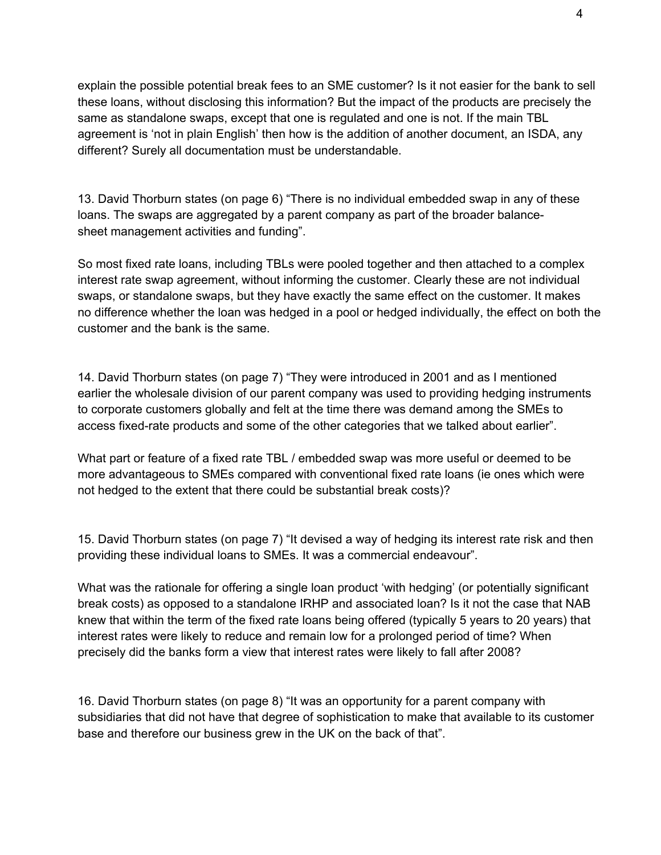explain the possible potential break fees to an SME customer? Is it not easier for the bank to sell these loans, without disclosing this information? But the impact of the products are precisely the same as standalone swaps, except that one is regulated and one is not. If the main TBL agreement is 'not in plain English' then how is the addition of another document, an ISDA, any different? Surely all documentation must be understandable.

13. David Thorburn states (on page 6) "There is no individual embedded swap in any of these loans. The swaps are aggregated by a parent company as part of the broader balancesheet management activities and funding".

So most fixed rate loans, including TBLs were pooled together and then attached to a complex interest rate swap agreement, without informing the customer. Clearly these are not individual swaps, or standalone swaps, but they have exactly the same effect on the customer. It makes no difference whether the loan was hedged in a pool or hedged individually, the effect on both the customer and the bank is the same.

14. David Thorburn states (on page 7) "They were introduced in 2001 and as I mentioned earlier the wholesale division of our parent company was used to providing hedging instruments to corporate customers globally and felt at the time there was demand among the SMEs to access fixed-rate products and some of the other categories that we talked about earlier".

What part or feature of a fixed rate TBL / embedded swap was more useful or deemed to be more advantageous to SMEs compared with conventional fixed rate loans (ie ones which were not hedged to the extent that there could be substantial break costs)?

15. David Thorburn states (on page 7) "It devised a way of hedging its interest rate risk and then providing these individual loans to SMEs. It was a commercial endeavour".

What was the rationale for offering a single loan product 'with hedging' (or potentially significant break costs) as opposed to a standalone IRHP and associated loan? Is it not the case that NAB knew that within the term of the fixed rate loans being offered (typically 5 years to 20 years) that interest rates were likely to reduce and remain low for a prolonged period of time? When precisely did the banks form a view that interest rates were likely to fall after 2008?

16. David Thorburn states (on page 8) "It was an opportunity for a parent company with subsidiaries that did not have that degree of sophistication to make that available to its customer base and therefore our business grew in the UK on the back of that".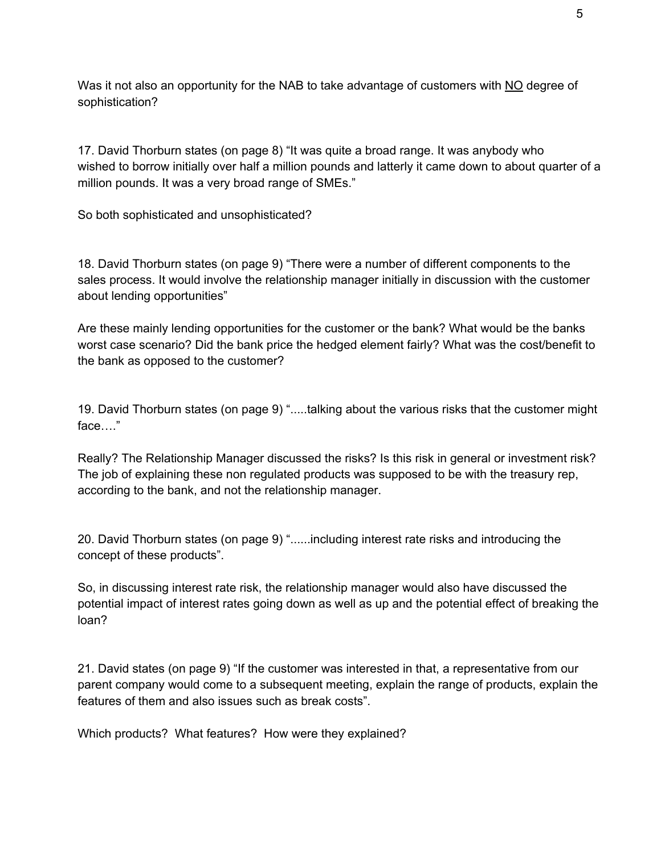Was it not also an opportunity for the NAB to take advantage of customers with NO degree of sophistication?

17. David Thorburn states (on page 8) "It was quite a broad range. It was anybody who wished to borrow initially over half a million pounds and latterly it came down to about quarter of a million pounds. It was a very broad range of SMEs."

So both sophisticated and unsophisticated?

18. David Thorburn states (on page 9) "There were a number of different components to the sales process. It would involve the relationship manager initially in discussion with the customer about lending opportunities"

Are these mainly lending opportunities for the customer or the bank? What would be the banks worst case scenario? Did the bank price the hedged element fairly? What was the cost/benefit to the bank as opposed to the customer?

19. David Thorburn states (on page 9) ".....talking about the various risks that the customer might face…."

Really? The Relationship Manager discussed the risks? Is this risk in general or investment risk? The job of explaining these non regulated products was supposed to be with the treasury rep, according to the bank, and not the relationship manager.

20. David Thorburn states (on page 9) "......including interest rate risks and introducing the concept of these products".

So, in discussing interest rate risk, the relationship manager would also have discussed the potential impact of interest rates going down as well as up and the potential effect of breaking the loan?

21. David states (on page 9) "If the customer was interested in that, a representative from our parent company would come to a subsequent meeting, explain the range of products, explain the features of them and also issues such as break costs".

Which products? What features? How were they explained?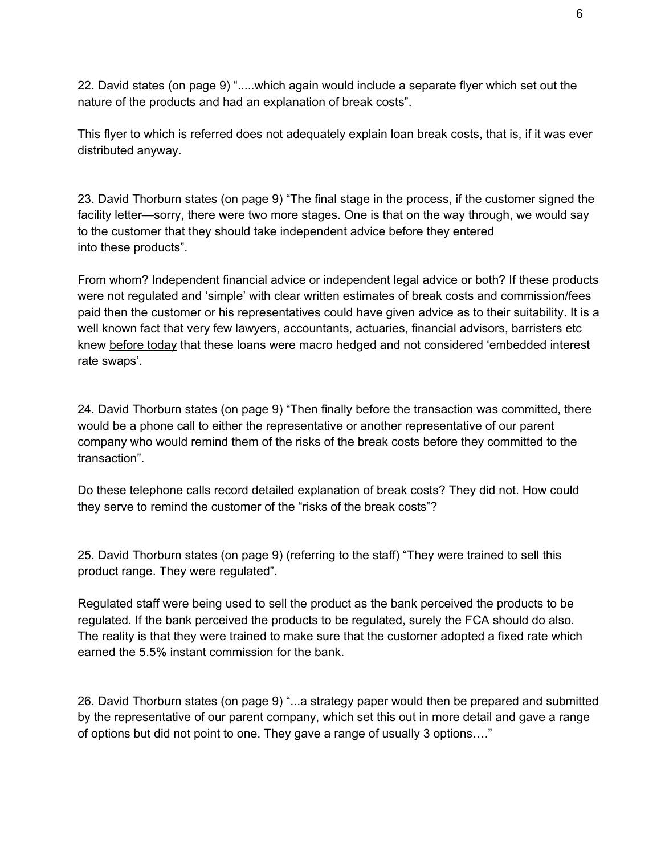22. David states (on page 9) ".....which again would include a separate flyer which set out the nature of the products and had an explanation of break costs".

This flyer to which is referred does not adequately explain loan break costs, that is, if it was ever distributed anyway.

23. David Thorburn states (on page 9) "The final stage in the process, if the customer signed the facility letter—sorry, there were two more stages. One is that on the way through, we would say to the customer that they should take independent advice before they entered into these products".

From whom? Independent financial advice or independent legal advice or both? If these products were not regulated and 'simple' with clear written estimates of break costs and commission/fees paid then the customer or his representatives could have given advice as to their suitability. It is a well known fact that very few lawyers, accountants, actuaries, financial advisors, barristers etc knew before today that these loans were macro hedged and not considered 'embedded interest rate swaps'.

24. David Thorburn states (on page 9) "Then finally before the transaction was committed, there would be a phone call to either the representative or another representative of our parent company who would remind them of the risks of the break costs before they committed to the transaction".

Do these telephone calls record detailed explanation of break costs? They did not. How could they serve to remind the customer of the "risks of the break costs"?

25. David Thorburn states (on page 9) (referring to the staff) "They were trained to sell this product range. They were regulated".

Regulated staff were being used to sell the product as the bank perceived the products to be regulated. If the bank perceived the products to be regulated, surely the FCA should do also. The reality is that they were trained to make sure that the customer adopted a fixed rate which earned the 5.5% instant commission for the bank.

26. David Thorburn states (on page 9) "...a strategy paper would then be prepared and submitted by the representative of our parent company, which set this out in more detail and gave a range of options but did not point to one. They gave a range of usually 3 options…."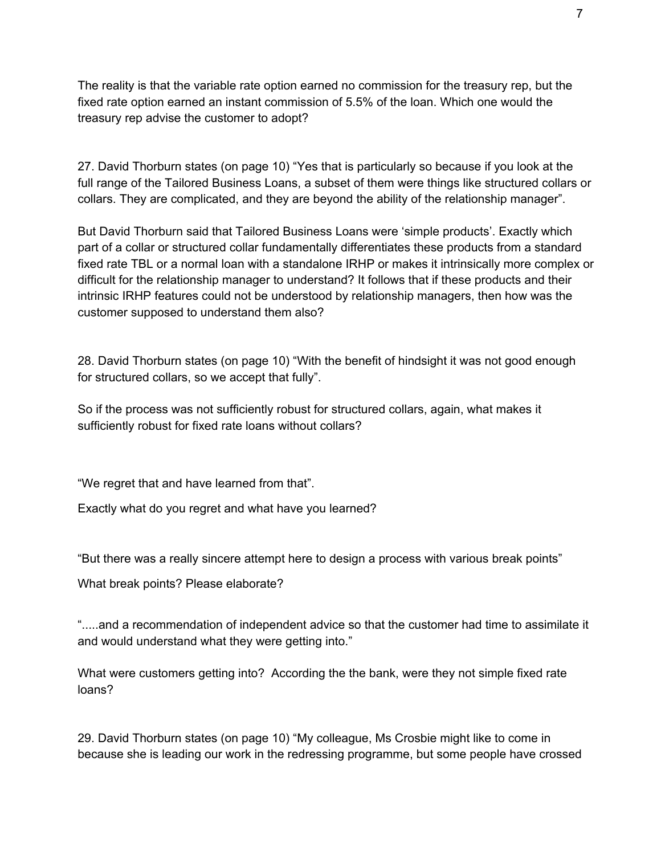The reality is that the variable rate option earned no commission for the treasury rep, but the fixed rate option earned an instant commission of 5.5% of the loan. Which one would the treasury rep advise the customer to adopt?

27. David Thorburn states (on page 10) "Yes that is particularly so because if you look at the full range of the Tailored Business Loans, a subset of them were things like structured collars or collars. They are complicated, and they are beyond the ability of the relationship manager".

But David Thorburn said that Tailored Business Loans were 'simple products'. Exactly which part of a collar or structured collar fundamentally differentiates these products from a standard fixed rate TBL or a normal loan with a standalone IRHP or makes it intrinsically more complex or difficult for the relationship manager to understand? It follows that if these products and their intrinsic IRHP features could not be understood by relationship managers, then how was the customer supposed to understand them also?

28. David Thorburn states (on page 10) "With the benefit of hindsight it was not good enough for structured collars, so we accept that fully".

So if the process was not sufficiently robust for structured collars, again, what makes it sufficiently robust for fixed rate loans without collars?

"We regret that and have learned from that".

Exactly what do you regret and what have you learned?

"But there was a really sincere attempt here to design a process with various break points"

What break points? Please elaborate?

".....and a recommendation of independent advice so that the customer had time to assimilate it and would understand what they were getting into."

What were customers getting into? According the the bank, were they not simple fixed rate loans?

29. David Thorburn states (on page 10) "My colleague, Ms Crosbie might like to come in because she is leading our work in the redressing programme, but some people have crossed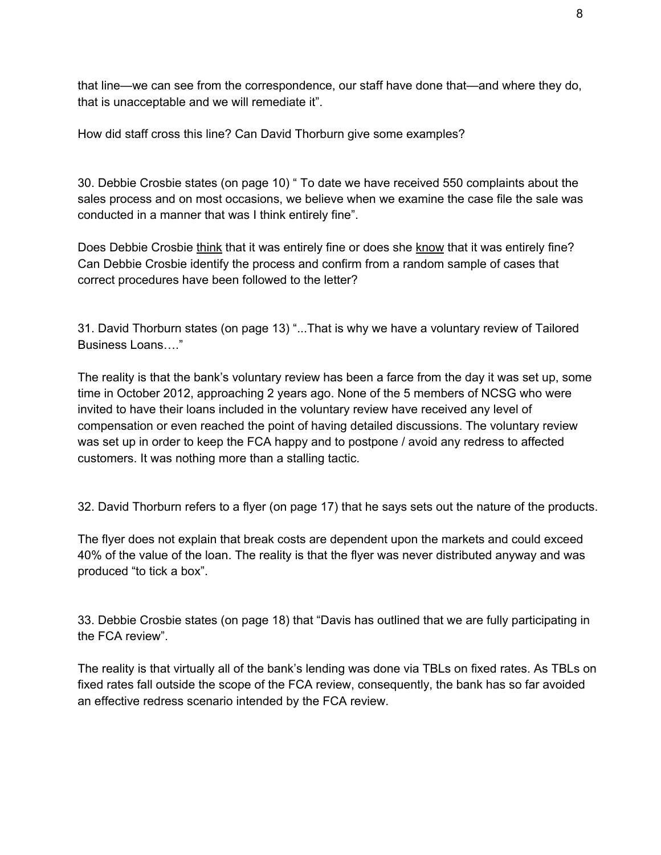that line—we can see from the correspondence, our staff have done that—and where they do, that is unacceptable and we will remediate it".

How did staff cross this line? Can David Thorburn give some examples?

30. Debbie Crosbie states (on page 10) " To date we have received 550 complaints about the sales process and on most occasions, we believe when we examine the case file the sale was conducted in a manner that was I think entirely fine".

Does Debbie Crosbie think that it was entirely fine or does she know that it was entirely fine? Can Debbie Crosbie identify the process and confirm from a random sample of cases that correct procedures have been followed to the letter?

31. David Thorburn states (on page 13) "...That is why we have a voluntary review of Tailored Business Loans…."

The reality is that the bank's voluntary review has been a farce from the day it was set up, some time in October 2012, approaching 2 years ago. None of the 5 members of NCSG who were invited to have their loans included in the voluntary review have received any level of compensation or even reached the point of having detailed discussions. The voluntary review was set up in order to keep the FCA happy and to postpone / avoid any redress to affected customers. It was nothing more than a stalling tactic.

32. David Thorburn refers to a flyer (on page 17) that he says sets out the nature of the products.

The flyer does not explain that break costs are dependent upon the markets and could exceed 40% of the value of the loan. The reality is that the flyer was never distributed anyway and was produced "to tick a box".

33. Debbie Crosbie states (on page 18) that "Davis has outlined that we are fully participating in the FCA review".

The reality is that virtually all of the bank's lending was done via TBLs on fixed rates. As TBLs on fixed rates fall outside the scope of the FCA review, consequently, the bank has so far avoided an effective redress scenario intended by the FCA review.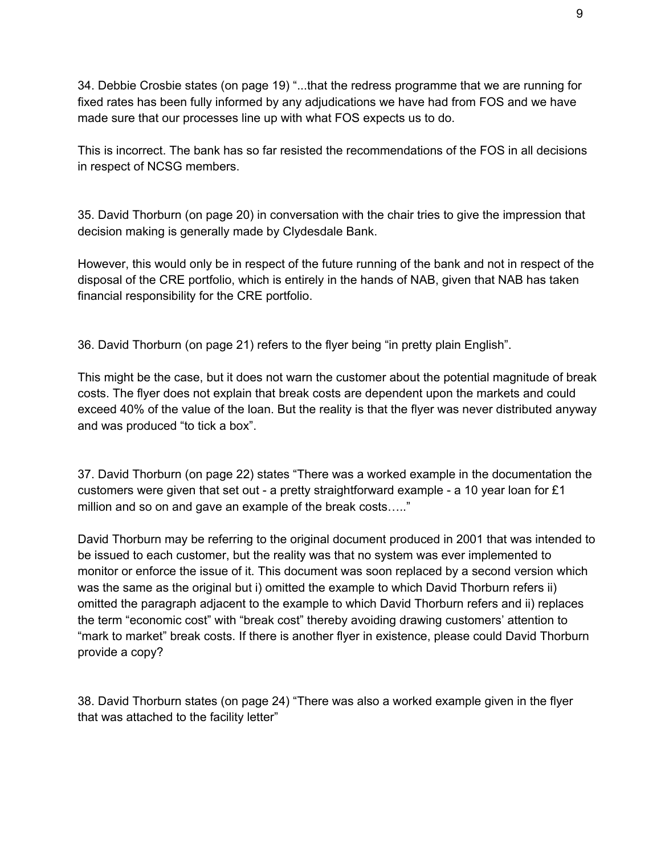34. Debbie Crosbie states (on page 19) "...that the redress programme that we are running for fixed rates has been fully informed by any adjudications we have had from FOS and we have made sure that our processes line up with what FOS expects us to do.

This is incorrect. The bank has so far resisted the recommendations of the FOS in all decisions in respect of NCSG members.

35. David Thorburn (on page 20) in conversation with the chair tries to give the impression that decision making is generally made by Clydesdale Bank.

However, this would only be in respect of the future running of the bank and not in respect of the disposal of the CRE portfolio, which is entirely in the hands of NAB, given that NAB has taken financial responsibility for the CRE portfolio.

36. David Thorburn (on page 21) refers to the flyer being "in pretty plain English".

This might be the case, but it does not warn the customer about the potential magnitude of break costs. The flyer does not explain that break costs are dependent upon the markets and could exceed 40% of the value of the loan. But the reality is that the flyer was never distributed anyway and was produced "to tick a box".

37. David Thorburn (on page 22) states "There was a worked example in the documentation the customers were given that set out - a pretty straightforward example - a 10 year loan for  $£1$ million and so on and gave an example of the break costs….."

David Thorburn may be referring to the original document produced in 2001 that was intended to be issued to each customer, but the reality was that no system was ever implemented to monitor or enforce the issue of it. This document was soon replaced by a second version which was the same as the original but i) omitted the example to which David Thorburn refers ii) omitted the paragraph adjacent to the example to which David Thorburn refers and ii) replaces the term "economic cost" with "break cost" thereby avoiding drawing customers' attention to "mark to market" break costs. If there is another flyer in existence, please could David Thorburn provide a copy?

38. David Thorburn states (on page 24) "There was also a worked example given in the flyer that was attached to the facility letter"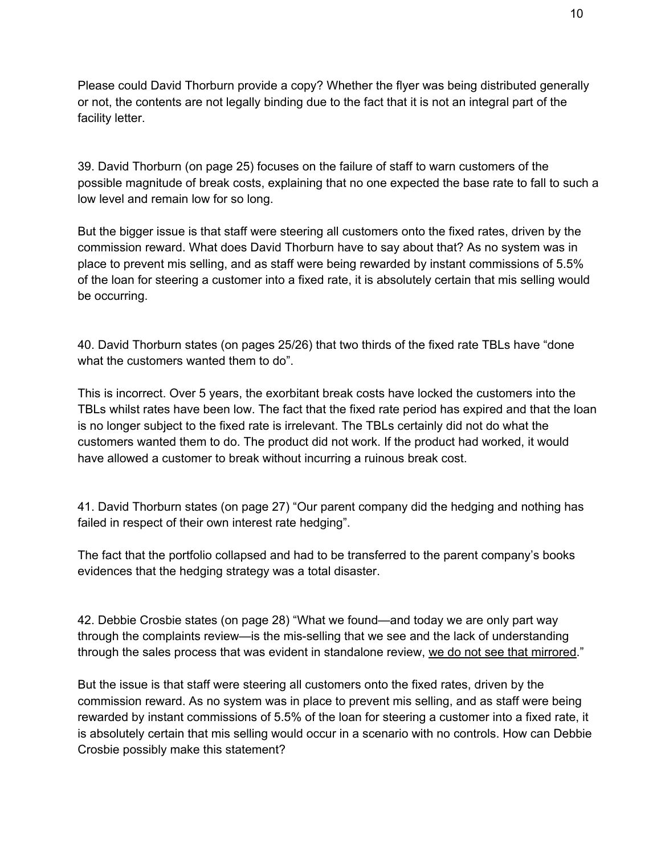Please could David Thorburn provide a copy? Whether the flyer was being distributed generally or not, the contents are not legally binding due to the fact that it is not an integral part of the facility letter.

39. David Thorburn (on page 25) focuses on the failure of staff to warn customers of the possible magnitude of break costs, explaining that no one expected the base rate to fall to such a low level and remain low for so long.

But the bigger issue is that staff were steering all customers onto the fixed rates, driven by the commission reward. What does David Thorburn have to say about that? As no system was in place to prevent mis selling, and as staff were being rewarded by instant commissions of 5.5% of the loan for steering a customer into a fixed rate, it is absolutely certain that mis selling would be occurring.

40. David Thorburn states (on pages 25/26) that two thirds of the fixed rate TBLs have "done what the customers wanted them to do".

This is incorrect. Over 5 years, the exorbitant break costs have locked the customers into the TBLs whilst rates have been low. The fact that the fixed rate period has expired and that the loan is no longer subject to the fixed rate is irrelevant. The TBLs certainly did not do what the customers wanted them to do. The product did not work. If the product had worked, it would have allowed a customer to break without incurring a ruinous break cost.

41. David Thorburn states (on page 27) "Our parent company did the hedging and nothing has failed in respect of their own interest rate hedging".

The fact that the portfolio collapsed and had to be transferred to the parent company's books evidences that the hedging strategy was a total disaster.

42. Debbie Crosbie states (on page 28) "What we found—and today we are only part way through the complaints review—is the mis-selling that we see and the lack of understanding through the sales process that was evident in standalone review, we do not see that mirrored."

But the issue is that staff were steering all customers onto the fixed rates, driven by the commission reward. As no system was in place to prevent mis selling, and as staff were being rewarded by instant commissions of 5.5% of the loan for steering a customer into a fixed rate, it is absolutely certain that mis selling would occur in a scenario with no controls. How can Debbie Crosbie possibly make this statement?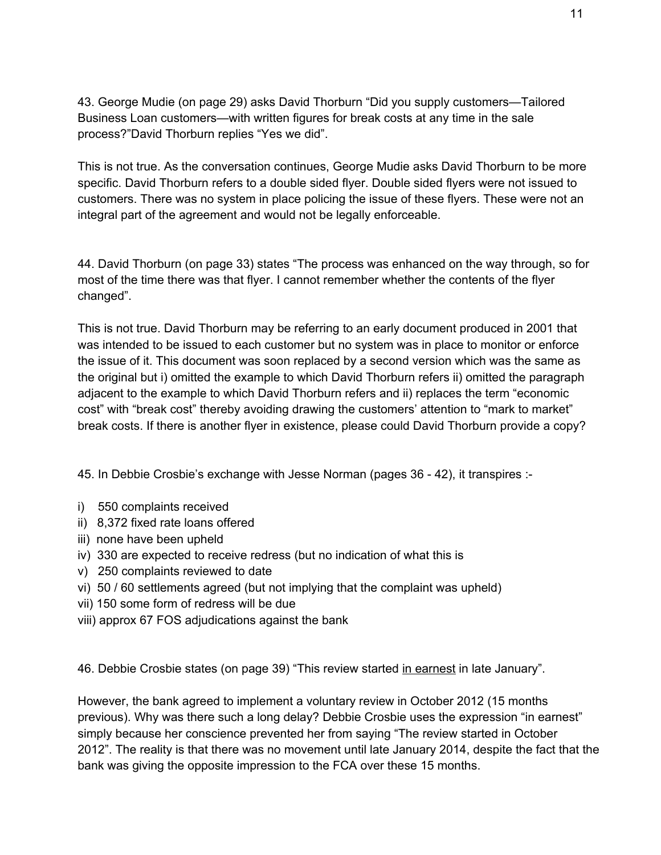43. George Mudie (on page 29) asks David Thorburn "Did you supply customers—Tailored Business Loan customers—with written figures for break costs at any time in the sale process?"David Thorburn replies "Yes we did".

This is not true. As the conversation continues, George Mudie asks David Thorburn to be more specific. David Thorburn refers to a double sided flyer. Double sided flyers were not issued to customers. There was no system in place policing the issue of these flyers. These were not an integral part of the agreement and would not be legally enforceable.

44. David Thorburn (on page 33) states "The process was enhanced on the way through, so for most of the time there was that flyer. I cannot remember whether the contents of the flyer changed".

This is not true. David Thorburn may be referring to an early document produced in 2001 that was intended to be issued to each customer but no system was in place to monitor or enforce the issue of it. This document was soon replaced by a second version which was the same as the original but i) omitted the example to which David Thorburn refers ii) omitted the paragraph adjacent to the example to which David Thorburn refers and ii) replaces the term "economic cost" with "break cost" thereby avoiding drawing the customers' attention to "mark to market" break costs. If there is another flyer in existence, please could David Thorburn provide a copy?

45. In Debbie Crosbie's exchange with Jesse Norman (pages 36 - 42), it transpires :-

- i) 550 complaints received
- ii) 8,372 fixed rate loans offered
- iii) none have been upheld
- iv) 330 are expected to receive redress (but no indication of what this is
- v) 250 complaints reviewed to date
- vi) 50 / 60 settlements agreed (but not implying that the complaint was upheld)
- vii) 150 some form of redress will be due
- viii) approx 67 FOS adjudications against the bank

46. Debbie Crosbie states (on page 39) "This review started in earnest in late January".

However, the bank agreed to implement a voluntary review in October 2012 (15 months previous). Why was there such a long delay? Debbie Crosbie uses the expression "in earnest" simply because her conscience prevented her from saying "The review started in October 2012". The reality is that there was no movement until late January 2014, despite the fact that the bank was giving the opposite impression to the FCA over these 15 months.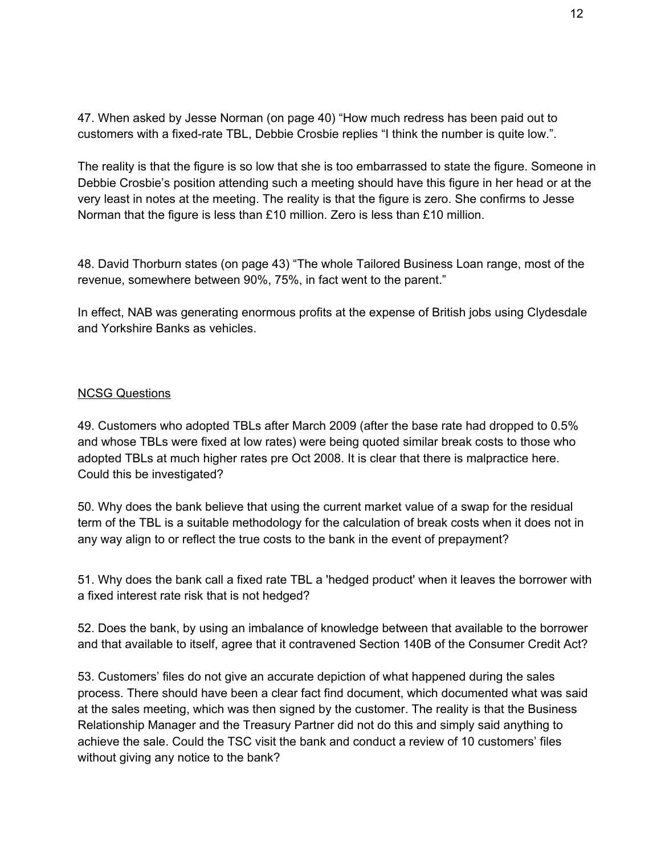47. When asked by Jesse Norman (on page 40) "How much redress has been paid out to customers with a fixed-rate TBL, Debbie Crosbie replies "I think the number is quite low.".

The reality is that the figure is so low that she is too embarrassed to state the figure. Someone in Debbie Crosbie's position attending such a meeting should have this figure in her head or at the very least in notes at the meeting. The reality is that the figure is zero. She confirms to Jesse Norman that the figure is less than £10 million. Zero is less than £10 million.

48. David Thorburn states (on page 43) "The whole Tailored Business Loan range, most of the revenue, somewhere between 90%, 75%, in fact went to the parent."

In effect, NAB was generating enormous profits at the expense of British jobs using Clydesdale and Yorkshire Banks as vehicles.

## NCSG Questions

49. Customers who adopted TBLs after March 2009 (after the base rate had dropped to 0.5% and whose TBLs were fixed at low rates) were being quoted similar break costs to those who adopted TBLs at much higher rates pre Oct 2008. It is clear that there is malpractice here. Could this be investigated?

50. Why does the bank believe that using the current market value of a swap for the residual term of the TBL is a suitable methodology for the calculation of break costs when it does not in any way align to or reflect the true costs to the bank in the event of prepayment?

51. Why does the bank call a fixed rate TBL a 'hedged product' when it leaves the borrower with a fixed interest rate risk that is not hedged?

52. Does the bank, by using an imbalance of knowledge between that available to the borrower and that available to itself, agree that it contravened Section 140B of the Consumer Credit Act?

53. Customers' files do not give an accurate depiction of what happened during the sales process. There should have been a clear fact find document, which documented what was said at the sales meeting, which was then signed by the customer. The reality is that the Business Relationship Manager and the Treasury Partner did not do this and simply said anything to achieve the sale. Could the TSC visit the bank and conduct a review of 10 customers' files without giving any notice to the bank?